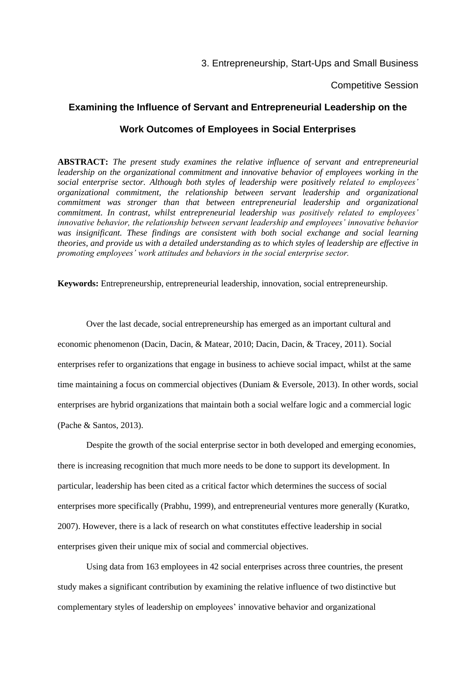3. Entrepreneurship, Start-Ups and Small Business

Competitive Session

# **Examining the Influence of Servant and Entrepreneurial Leadership on the**

# **Work Outcomes of Employees in Social Enterprises**

**ABSTRACT:** *The present study examines the relative influence of servant and entrepreneurial leadership on the organizational commitment and innovative behavior of employees working in the social enterprise sector. Although both styles of leadership were positively related to employees' organizational commitment, the relationship between servant leadership and organizational commitment was stronger than that between entrepreneurial leadership and organizational commitment. In contrast, whilst entrepreneurial leadership was positively related to employees' innovative behavior, the relationship between servant leadership and employees' innovative behavior was insignificant. These findings are consistent with both social exchange and social learning theories, and provide us with a detailed understanding as to which styles of leadership are effective in promoting employees' work attitudes and behaviors in the social enterprise sector.*

**Keywords:** Entrepreneurship, entrepreneurial leadership, innovation, social entrepreneurship.

Over the last decade, social entrepreneurship has emerged as an important cultural and economic phenomenon (Dacin, Dacin, & Matear, 2010; Dacin, Dacin, & Tracey, 2011). Social enterprises refer to organizations that engage in business to achieve social impact, whilst at the same time maintaining a focus on commercial objectives (Duniam & Eversole, 2013). In other words, social enterprises are hybrid organizations that maintain both a social welfare logic and a commercial logic (Pache & Santos, 2013).

Despite the growth of the social enterprise sector in both developed and emerging economies, there is increasing recognition that much more needs to be done to support its development. In particular, leadership has been cited as a critical factor which determines the success of social enterprises more specifically (Prabhu, 1999), and entrepreneurial ventures more generally (Kuratko, 2007). However, there is a lack of research on what constitutes effective leadership in social enterprises given their unique mix of social and commercial objectives.

Using data from 163 employees in 42 social enterprises across three countries, the present study makes a significant contribution by examining the relative influence of two distinctive but complementary styles of leadership on employees' innovative behavior and organizational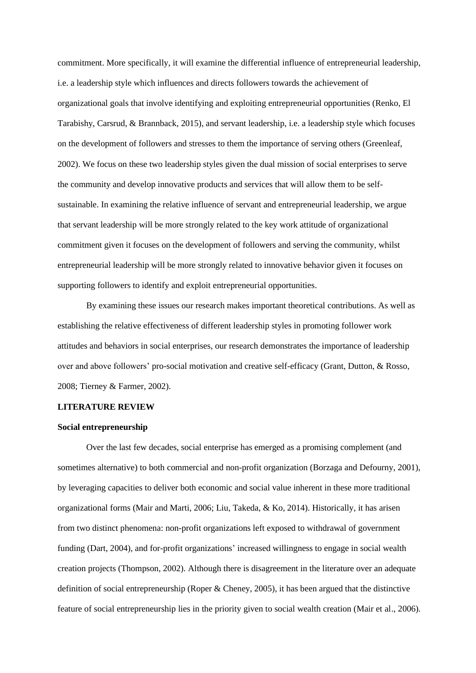commitment. More specifically, it will examine the differential influence of entrepreneurial leadership, i.e. a leadership style which influences and directs followers towards the achievement of organizational goals that involve identifying and exploiting entrepreneurial opportunities (Renko, El Tarabishy, Carsrud, & Brannback, 2015), and servant leadership, i.e. a leadership style which focuses on the development of followers and stresses to them the importance of serving others (Greenleaf, 2002). We focus on these two leadership styles given the dual mission of social enterprises to serve the community and develop innovative products and services that will allow them to be selfsustainable. In examining the relative influence of servant and entrepreneurial leadership, we argue that servant leadership will be more strongly related to the key work attitude of organizational commitment given it focuses on the development of followers and serving the community, whilst entrepreneurial leadership will be more strongly related to innovative behavior given it focuses on supporting followers to identify and exploit entrepreneurial opportunities.

By examining these issues our research makes important theoretical contributions. As well as establishing the relative effectiveness of different leadership styles in promoting follower work attitudes and behaviors in social enterprises, our research demonstrates the importance of leadership over and above followers' pro-social motivation and creative self-efficacy (Grant, Dutton, & Rosso, 2008; Tierney & Farmer, 2002).

# **LITERATURE REVIEW**

#### **Social entrepreneurship**

Over the last few decades, social enterprise has emerged as a promising complement (and sometimes alternative) to both commercial and non-profit organization (Borzaga and Defourny, 2001), by leveraging capacities to deliver both economic and social value inherent in these more traditional organizational forms (Mair and Marti, 2006; Liu, Takeda, & Ko, 2014). Historically, it has arisen from two distinct phenomena: non-profit organizations left exposed to withdrawal of government funding (Dart, 2004), and for-profit organizations' increased willingness to engage in social wealth creation projects (Thompson, 2002). Although there is disagreement in the literature over an adequate definition of social entrepreneurship (Roper & Cheney, 2005), it has been argued that the distinctive feature of social entrepreneurship lies in the priority given to social wealth creation (Mair et al., 2006).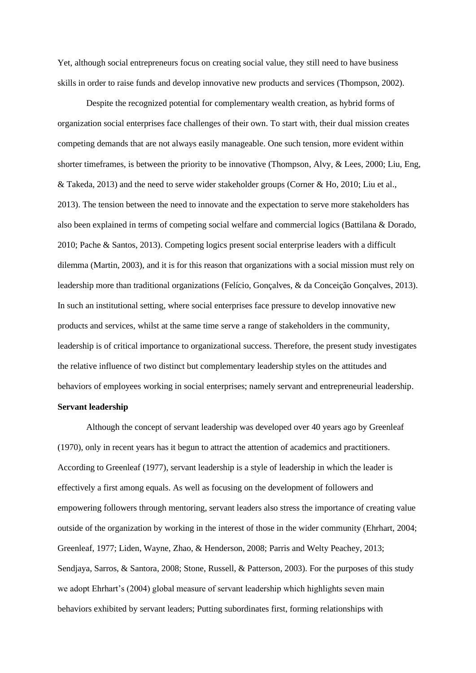Yet, although social entrepreneurs focus on creating social value, they still need to have business skills in order to raise funds and develop innovative new products and services (Thompson, 2002).

Despite the recognized potential for complementary wealth creation, as hybrid forms of organization social enterprises face challenges of their own. To start with, their dual mission creates competing demands that are not always easily manageable. One such tension, more evident within shorter timeframes, is between the priority to be innovative (Thompson, Alvy, & Lees, 2000; Liu, Eng, & Takeda, 2013) and the need to serve wider stakeholder groups (Corner & Ho, 2010; Liu et al., 2013). The tension between the need to innovate and the expectation to serve more stakeholders has also been explained in terms of competing social welfare and commercial logics (Battilana & Dorado, 2010; Pache & Santos, 2013). Competing logics present social enterprise leaders with a difficult dilemma (Martin, 2003), and it is for this reason that organizations with a social mission must rely on leadership more than traditional organizations (Felício, Gonçalves, & da Conceição Gonçalves, 2013). In such an institutional setting, where social enterprises face pressure to develop innovative new products and services, whilst at the same time serve a range of stakeholders in the community, leadership is of critical importance to organizational success. Therefore, the present study investigates the relative influence of two distinct but complementary leadership styles on the attitudes and behaviors of employees working in social enterprises; namely servant and entrepreneurial leadership.

# **Servant leadership**

Although the concept of servant leadership was developed over 40 years ago by Greenleaf (1970), only in recent years has it begun to attract the attention of academics and practitioners. According to Greenleaf (1977), servant leadership is a style of leadership in which the leader is effectively a first among equals. As well as focusing on the development of followers and empowering followers through mentoring, servant leaders also stress the importance of creating value outside of the organization by working in the interest of those in the wider community (Ehrhart, 2004; Greenleaf, 1977; Liden, Wayne, Zhao, & Henderson, 2008; Parris and Welty Peachey, 2013; Sendjaya, Sarros, & Santora, 2008; Stone, Russell, & Patterson, 2003). For the purposes of this study we adopt Ehrhart's (2004) global measure of servant leadership which highlights seven main behaviors exhibited by servant leaders; Putting subordinates first, forming relationships with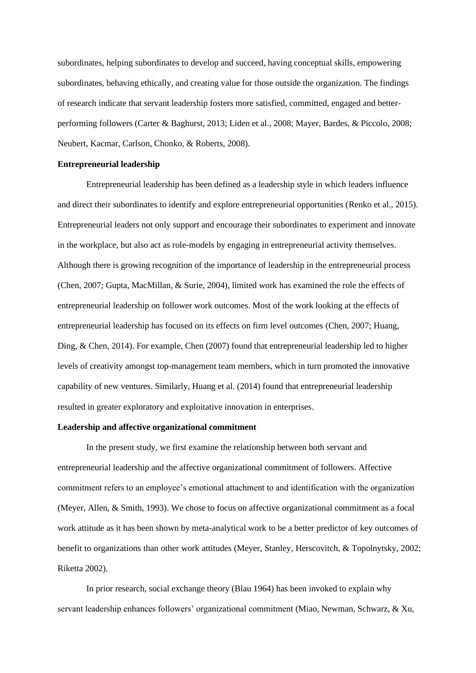subordinates, helping subordinates to develop and succeed, having conceptual skills, empowering subordinates, behaving ethically, and creating value for those outside the organization. The findings of research indicate that servant leadership fosters more satisfied, committed, engaged and betterperforming followers (Carter & Baghurst, 2013; Liden et al., 2008; Mayer, Bardes, & Piccolo, 2008; Neubert, Kacmar, Carlson, Chonko, & Roberts, 2008).

## **Entrepreneurial leadership**

Entrepreneurial leadership has been defined as a leadership style in which leaders influence and direct their subordinates to identify and explore entrepreneurial opportunities (Renko et al., 2015). Entrepreneurial leaders not only support and encourage their subordinates to experiment and innovate in the workplace, but also act as role-models by engaging in entrepreneurial activity themselves. Although there is growing recognition of the importance of leadership in the entrepreneurial process (Chen, 2007; Gupta, MacMillan, & Surie, 2004), limited work has examined the role the effects of entrepreneurial leadership on follower work outcomes. Most of the work looking at the effects of entrepreneurial leadership has focused on its effects on firm level outcomes (Chen, 2007; Huang, Ding, & Chen, 2014). For example, Chen (2007) found that entrepreneurial leadership led to higher levels of creativity amongst top-management team members, which in turn promoted the innovative capability of new ventures. Similarly, Huang et al. (2014) found that entrepreneurial leadership resulted in greater exploratory and exploitative innovation in enterprises.

## **Leadership and affective organizational commitment**

In the present study, we first examine the relationship between both servant and entrepreneurial leadership and the affective organizational commitment of followers. Affective commitment refers to an employee's emotional attachment to and identification with the organization (Meyer, Allen, & Smith, 1993). We chose to focus on affective organizational commitment as a focal work attitude as it has been shown by meta-analytical work to be a better predictor of key outcomes of benefit to organizations than other work attitudes (Meyer, Stanley, Herscovitch, & Topolnytsky, 2002; Riketta 2002).

In prior research, social exchange theory (Blau 1964) has been invoked to explain why servant leadership enhances followers' organizational commitment (Miao, Newman, Schwarz, & Xu,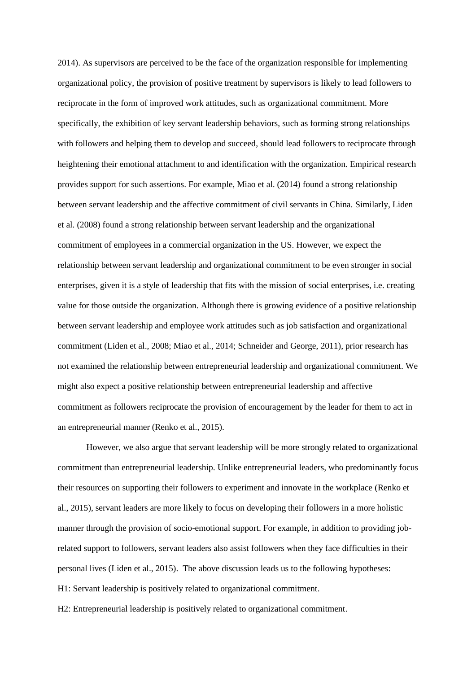2014). As supervisors are perceived to be the face of the organization responsible for implementing organizational policy, the provision of positive treatment by supervisors is likely to lead followers to reciprocate in the form of improved work attitudes, such as organizational commitment. More specifically, the exhibition of key servant leadership behaviors, such as forming strong relationships with followers and helping them to develop and succeed, should lead followers to reciprocate through heightening their emotional attachment to and identification with the organization. Empirical research provides support for such assertions. For example, Miao et al. (2014) found a strong relationship between servant leadership and the affective commitment of civil servants in China. Similarly, Liden et al. (2008) found a strong relationship between servant leadership and the organizational commitment of employees in a commercial organization in the US. However, we expect the relationship between servant leadership and organizational commitment to be even stronger in social enterprises, given it is a style of leadership that fits with the mission of social enterprises, i.e. creating value for those outside the organization. Although there is growing evidence of a positive relationship between servant leadership and employee work attitudes such as job satisfaction and organizational commitment (Liden et al., 2008; Miao et al., 2014; Schneider and George, 2011), prior research has not examined the relationship between entrepreneurial leadership and organizational commitment. We might also expect a positive relationship between entrepreneurial leadership and affective commitment as followers reciprocate the provision of encouragement by the leader for them to act in an entrepreneurial manner (Renko et al., 2015).

However, we also argue that servant leadership will be more strongly related to organizational commitment than entrepreneurial leadership. Unlike entrepreneurial leaders, who predominantly focus their resources on supporting their followers to experiment and innovate in the workplace (Renko et al., 2015), servant leaders are more likely to focus on developing their followers in a more holistic manner through the provision of socio-emotional support. For example, in addition to providing jobrelated support to followers, servant leaders also assist followers when they face difficulties in their personal lives (Liden et al., 2015). The above discussion leads us to the following hypotheses: H1: Servant leadership is positively related to organizational commitment.

H2: Entrepreneurial leadership is positively related to organizational commitment.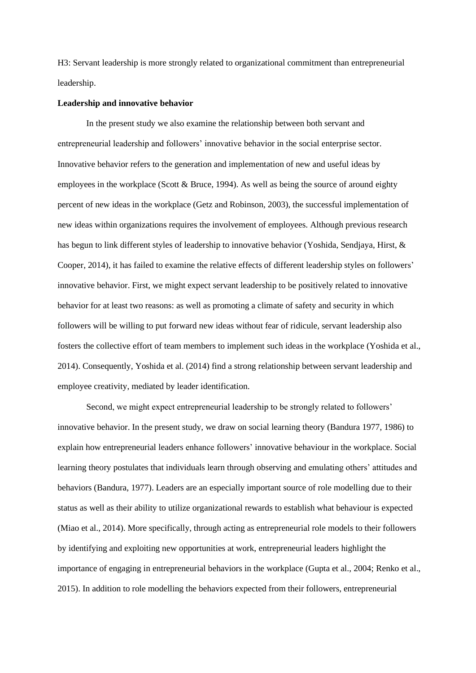H3: Servant leadership is more strongly related to organizational commitment than entrepreneurial leadership.

#### **Leadership and innovative behavior**

In the present study we also examine the relationship between both servant and entrepreneurial leadership and followers' innovative behavior in the social enterprise sector. Innovative behavior refers to the generation and implementation of new and useful ideas by employees in the workplace (Scott & Bruce, 1994). As well as being the source of around eighty percent of new ideas in the workplace (Getz and Robinson, 2003), the successful implementation of new ideas within organizations requires the involvement of employees. Although previous research has begun to link different styles of leadership to innovative behavior (Yoshida, Sendjaya, Hirst, & Cooper, 2014), it has failed to examine the relative effects of different leadership styles on followers' innovative behavior. First, we might expect servant leadership to be positively related to innovative behavior for at least two reasons: as well as promoting a climate of safety and security in which followers will be willing to put forward new ideas without fear of ridicule, servant leadership also fosters the collective effort of team members to implement such ideas in the workplace (Yoshida et al., 2014). Consequently, Yoshida et al. (2014) find a strong relationship between servant leadership and employee creativity, mediated by leader identification.

Second, we might expect entrepreneurial leadership to be strongly related to followers' innovative behavior. In the present study, we draw on social learning theory (Bandura 1977, 1986) to explain how entrepreneurial leaders enhance followers' innovative behaviour in the workplace. Social learning theory postulates that individuals learn through observing and emulating others' attitudes and behaviors (Bandura, 1977). Leaders are an especially important source of role modelling due to their status as well as their ability to utilize organizational rewards to establish what behaviour is expected (Miao et al., 2014). More specifically, through acting as entrepreneurial role models to their followers by identifying and exploiting new opportunities at work, entrepreneurial leaders highlight the importance of engaging in entrepreneurial behaviors in the workplace (Gupta et al., 2004; Renko et al., 2015). In addition to role modelling the behaviors expected from their followers, entrepreneurial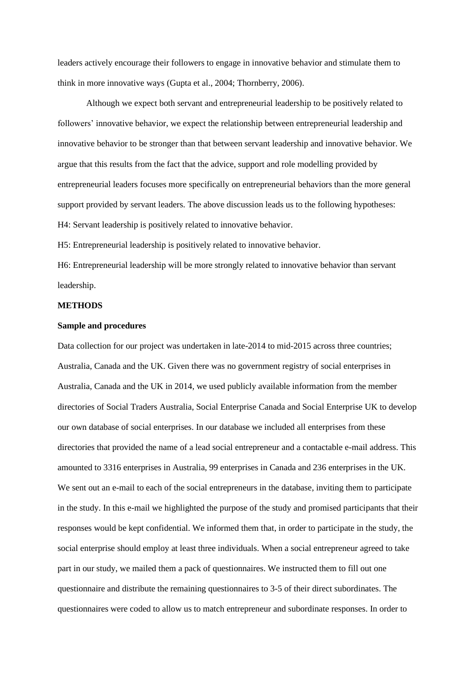leaders actively encourage their followers to engage in innovative behavior and stimulate them to think in more innovative ways (Gupta et al., 2004; Thornberry, 2006).

Although we expect both servant and entrepreneurial leadership to be positively related to followers' innovative behavior, we expect the relationship between entrepreneurial leadership and innovative behavior to be stronger than that between servant leadership and innovative behavior. We argue that this results from the fact that the advice, support and role modelling provided by entrepreneurial leaders focuses more specifically on entrepreneurial behaviors than the more general support provided by servant leaders. The above discussion leads us to the following hypotheses: H4: Servant leadership is positively related to innovative behavior.

H5: Entrepreneurial leadership is positively related to innovative behavior.

H6: Entrepreneurial leadership will be more strongly related to innovative behavior than servant leadership.

## **METHODS**

#### **Sample and procedures**

Data collection for our project was undertaken in late-2014 to mid-2015 across three countries; Australia, Canada and the UK. Given there was no government registry of social enterprises in Australia, Canada and the UK in 2014, we used publicly available information from the member directories of Social Traders Australia, Social Enterprise Canada and Social Enterprise UK to develop our own database of social enterprises. In our database we included all enterprises from these directories that provided the name of a lead social entrepreneur and a contactable e-mail address. This amounted to 3316 enterprises in Australia, 99 enterprises in Canada and 236 enterprises in the UK. We sent out an e-mail to each of the social entrepreneurs in the database, inviting them to participate in the study. In this e-mail we highlighted the purpose of the study and promised participants that their responses would be kept confidential. We informed them that, in order to participate in the study, the social enterprise should employ at least three individuals. When a social entrepreneur agreed to take part in our study, we mailed them a pack of questionnaires. We instructed them to fill out one questionnaire and distribute the remaining questionnaires to 3-5 of their direct subordinates. The questionnaires were coded to allow us to match entrepreneur and subordinate responses. In order to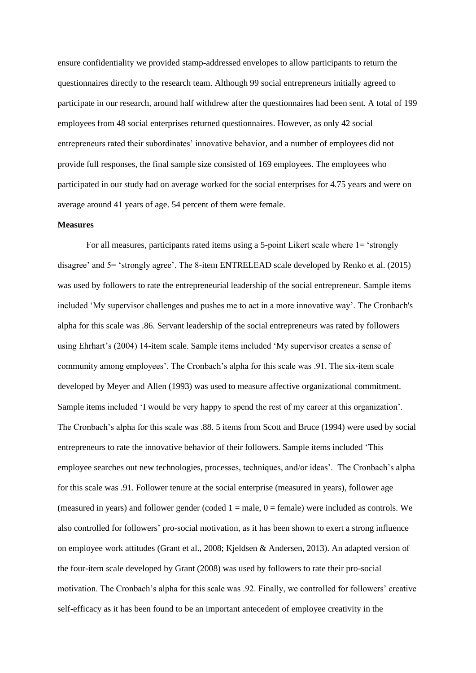ensure confidentiality we provided stamp-addressed envelopes to allow participants to return the questionnaires directly to the research team. Although 99 social entrepreneurs initially agreed to participate in our research, around half withdrew after the questionnaires had been sent. A total of 199 employees from 48 social enterprises returned questionnaires. However, as only 42 social entrepreneurs rated their subordinates' innovative behavior, and a number of employees did not provide full responses, the final sample size consisted of 169 employees. The employees who participated in our study had on average worked for the social enterprises for 4.75 years and were on average around 41 years of age. 54 percent of them were female.

### **Measures**

For all measures, participants rated items using a 5-point Likert scale where 1= 'strongly disagree' and 5= 'strongly agree'. The 8-item ENTRELEAD scale developed by Renko et al. (2015) was used by followers to rate the entrepreneurial leadership of the social entrepreneur. Sample items included 'My supervisor challenges and pushes me to act in a more innovative way'. The Cronbach's alpha for this scale was .86. Servant leadership of the social entrepreneurs was rated by followers using Ehrhart's (2004) 14-item scale. Sample items included 'My supervisor creates a sense of community among employees'. The Cronbach's alpha for this scale was .91. The six-item scale developed by Meyer and Allen (1993) was used to measure affective organizational commitment. Sample items included 'I would be very happy to spend the rest of my career at this organization'. The Cronbach's alpha for this scale was .88. 5 items from Scott and Bruce (1994) were used by social entrepreneurs to rate the innovative behavior of their followers. Sample items included 'This employee searches out new technologies, processes, techniques, and/or ideas'. The Cronbach's alpha for this scale was .91. Follower tenure at the social enterprise (measured in years), follower age (measured in years) and follower gender (coded  $1 =$  male,  $0 =$  female) were included as controls. We also controlled for followers' pro-social motivation, as it has been shown to exert a strong influence on employee work attitudes (Grant et al., 2008; Kjeldsen & Andersen, 2013). An adapted version of the four-item scale developed by Grant (2008) was used by followers to rate their pro-social motivation. The Cronbach's alpha for this scale was .92. Finally, we controlled for followers' creative self-efficacy as it has been found to be an important antecedent of employee creativity in the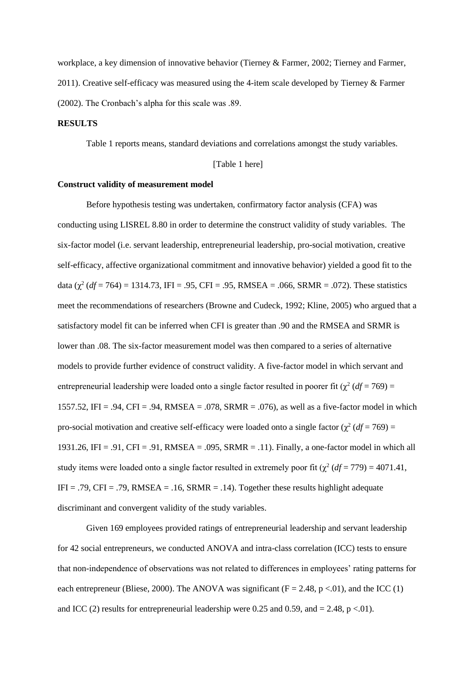workplace, a key dimension of innovative behavior (Tierney & Farmer, 2002; Tierney and Farmer, 2011). Creative self-efficacy was measured using the 4-item scale developed by Tierney & Farmer (2002). The Cronbach's alpha for this scale was .89.

#### **RESULTS**

Table 1 reports means, standard deviations and correlations amongst the study variables.

# [Table 1 here]

#### **Construct validity of measurement model**

Before hypothesis testing was undertaken, confirmatory factor analysis (CFA) was conducting using LISREL 8.80 in order to determine the construct validity of study variables. The six-factor model (i.e. servant leadership, entrepreneurial leadership, pro-social motivation, creative self-efficacy, affective organizational commitment and innovative behavior) yielded a good fit to the data  $(\chi^2 (df = 764) = 1314.73$ , IFI = .95, CFI = .95, RMSEA = .066, SRMR = .072). These statistics meet the recommendations of researchers (Browne and Cudeck, 1992; Kline, 2005) who argued that a satisfactory model fit can be inferred when CFI is greater than .90 and the RMSEA and SRMR is lower than .08. The six-factor measurement model was then compared to a series of alternative models to provide further evidence of construct validity. A five-factor model in which servant and entrepreneurial leadership were loaded onto a single factor resulted in poorer fit  $(\chi^2 (df = 769) =$ 1557.52, IFI = .94, CFI = .94, RMSEA = .078, SRMR = .076), as well as a five-factor model in which pro-social motivation and creative self-efficacy were loaded onto a single factor  $(\chi^2 (df = 769))$  = 1931.26, IFI = .91, CFI = .91, RMSEA = .095, SRMR = .11). Finally, a one-factor model in which all study items were loaded onto a single factor resulted in extremely poor fit  $(\chi^2 (df = 779) = 4071.41$ , IFI = .79, CFI = .79, RMSEA = .16, SRMR = .14). Together these results highlight adequate discriminant and convergent validity of the study variables.

Given 169 employees provided ratings of entrepreneurial leadership and servant leadership for 42 social entrepreneurs, we conducted ANOVA and intra-class correlation (ICC) tests to ensure that non-independence of observations was not related to differences in employees' rating patterns for each entrepreneur (Bliese, 2000). The ANOVA was significant ( $F = 2.48$ ,  $p < 0.01$ ), and the ICC (1) and ICC (2) results for entrepreneurial leadership were 0.25 and 0.59, and  $= 2.48$ , p <.01).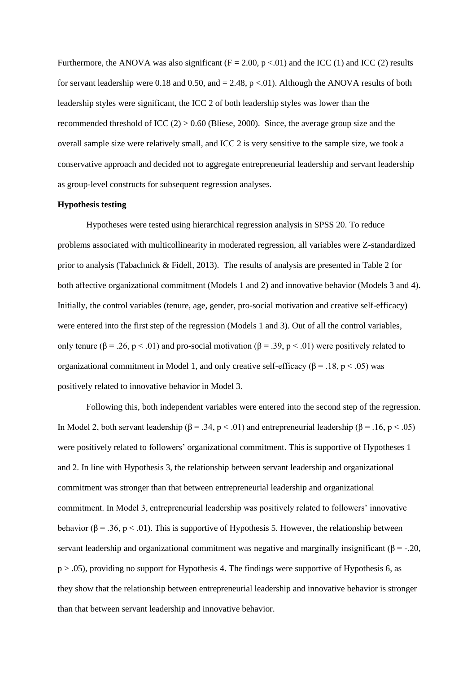Furthermore, the ANOVA was also significant ( $F = 2.00$ ,  $p < 0.01$ ) and the ICC (1) and ICC (2) results for servant leadership were 0.18 and 0.50, and  $= 2.48$ , p <.01). Although the ANOVA results of both leadership styles were significant, the ICC 2 of both leadership styles was lower than the recommended threshold of ICC  $(2) > 0.60$  (Bliese, 2000). Since, the average group size and the overall sample size were relatively small, and ICC 2 is very sensitive to the sample size, we took a conservative approach and decided not to aggregate entrepreneurial leadership and servant leadership as group-level constructs for subsequent regression analyses.

## **Hypothesis testing**

Hypotheses were tested using hierarchical regression analysis in SPSS 20. To reduce problems associated with multicollinearity in moderated regression, all variables were Z-standardized prior to analysis (Tabachnick & Fidell, 2013). The results of analysis are presented in Table 2 for both affective organizational commitment (Models 1 and 2) and innovative behavior (Models 3 and 4). Initially, the control variables (tenure, age, gender, pro-social motivation and creative self-efficacy) were entered into the first step of the regression (Models 1 and 3). Out of all the control variables, only tenure ( $\beta = .26$ ,  $p < .01$ ) and pro-social motivation ( $\beta = .39$ ,  $p < .01$ ) were positively related to organizational commitment in Model 1, and only creative self-efficacy ( $\beta$  = .18, p < .05) was positively related to innovative behavior in Model 3.

Following this, both independent variables were entered into the second step of the regression. In Model 2, both servant leadership ( $\beta = .34$ ,  $p < .01$ ) and entrepreneurial leadership ( $\beta = .16$ ,  $p < .05$ ) were positively related to followers' organizational commitment. This is supportive of Hypotheses 1 and 2. In line with Hypothesis 3, the relationship between servant leadership and organizational commitment was stronger than that between entrepreneurial leadership and organizational commitment. In Model 3, entrepreneurial leadership was positively related to followers' innovative behavior ( $\beta = .36$ ,  $p < .01$ ). This is supportive of Hypothesis 5. However, the relationship between servant leadership and organizational commitment was negative and marginally insignificant ( $\beta = -20$ ,  $p > .05$ ), providing no support for Hypothesis 4. The findings were supportive of Hypothesis 6, as they show that the relationship between entrepreneurial leadership and innovative behavior is stronger than that between servant leadership and innovative behavior.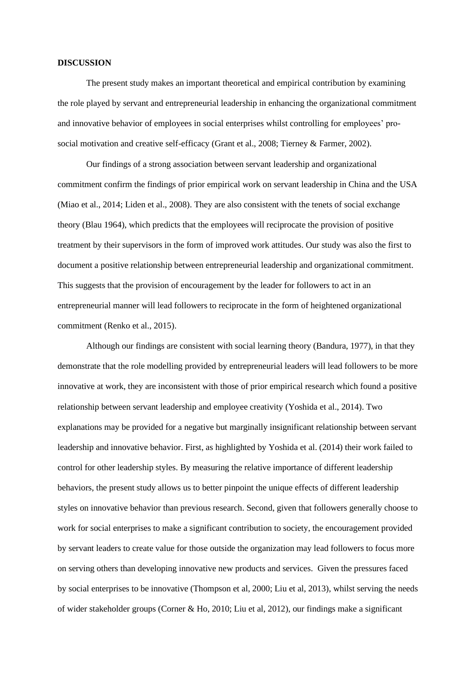#### **DISCUSSION**

The present study makes an important theoretical and empirical contribution by examining the role played by servant and entrepreneurial leadership in enhancing the organizational commitment and innovative behavior of employees in social enterprises whilst controlling for employees' prosocial motivation and creative self-efficacy (Grant et al., 2008; Tierney & Farmer, 2002).

Our findings of a strong association between servant leadership and organizational commitment confirm the findings of prior empirical work on servant leadership in China and the USA (Miao et al., 2014; Liden et al., 2008). They are also consistent with the tenets of social exchange theory (Blau 1964), which predicts that the employees will reciprocate the provision of positive treatment by their supervisors in the form of improved work attitudes. Our study was also the first to document a positive relationship between entrepreneurial leadership and organizational commitment. This suggests that the provision of encouragement by the leader for followers to act in an entrepreneurial manner will lead followers to reciprocate in the form of heightened organizational commitment (Renko et al., 2015).

Although our findings are consistent with social learning theory (Bandura, 1977), in that they demonstrate that the role modelling provided by entrepreneurial leaders will lead followers to be more innovative at work, they are inconsistent with those of prior empirical research which found a positive relationship between servant leadership and employee creativity (Yoshida et al., 2014). Two explanations may be provided for a negative but marginally insignificant relationship between servant leadership and innovative behavior. First, as highlighted by Yoshida et al. (2014) their work failed to control for other leadership styles. By measuring the relative importance of different leadership behaviors, the present study allows us to better pinpoint the unique effects of different leadership styles on innovative behavior than previous research. Second, given that followers generally choose to work for social enterprises to make a significant contribution to society, the encouragement provided by servant leaders to create value for those outside the organization may lead followers to focus more on serving others than developing innovative new products and services. Given the pressures faced by social enterprises to be innovative (Thompson et al, 2000; Liu et al, 2013), whilst serving the needs of wider stakeholder groups (Corner & Ho, 2010; Liu et al, 2012), our findings make a significant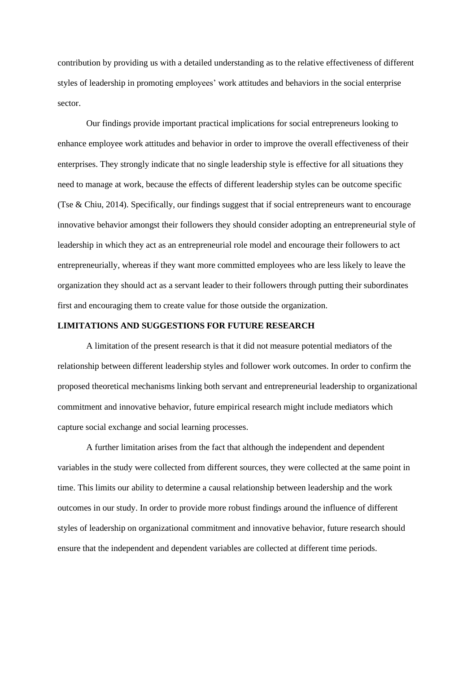contribution by providing us with a detailed understanding as to the relative effectiveness of different styles of leadership in promoting employees' work attitudes and behaviors in the social enterprise sector.

Our findings provide important practical implications for social entrepreneurs looking to enhance employee work attitudes and behavior in order to improve the overall effectiveness of their enterprises. They strongly indicate that no single leadership style is effective for all situations they need to manage at work, because the effects of different leadership styles can be outcome specific (Tse & Chiu, 2014). Specifically, our findings suggest that if social entrepreneurs want to encourage innovative behavior amongst their followers they should consider adopting an entrepreneurial style of leadership in which they act as an entrepreneurial role model and encourage their followers to act entrepreneurially, whereas if they want more committed employees who are less likely to leave the organization they should act as a servant leader to their followers through putting their subordinates first and encouraging them to create value for those outside the organization.

## **LIMITATIONS AND SUGGESTIONS FOR FUTURE RESEARCH**

A limitation of the present research is that it did not measure potential mediators of the relationship between different leadership styles and follower work outcomes. In order to confirm the proposed theoretical mechanisms linking both servant and entrepreneurial leadership to organizational commitment and innovative behavior, future empirical research might include mediators which capture social exchange and social learning processes.

A further limitation arises from the fact that although the independent and dependent variables in the study were collected from different sources, they were collected at the same point in time. This limits our ability to determine a causal relationship between leadership and the work outcomes in our study. In order to provide more robust findings around the influence of different styles of leadership on organizational commitment and innovative behavior, future research should ensure that the independent and dependent variables are collected at different time periods.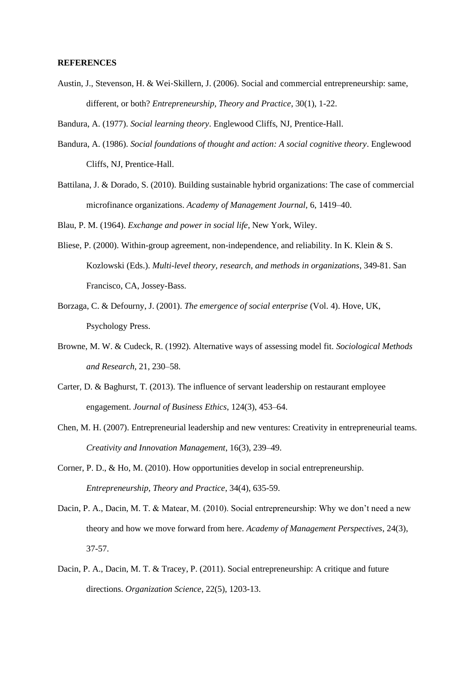#### **REFERENCES**

Austin, J., Stevenson, H. & Wei‐Skillern, J. (2006). Social and commercial entrepreneurship: same, different, or both? *Entrepreneurship, Theory and Practice*, 30(1), 1-22.

Bandura, A. (1977). *Social learning theory*. Englewood Cliffs, NJ, Prentice-Hall.

- Bandura, A. (1986). *Social foundations of thought and action: A social cognitive theory*. Englewood Cliffs, NJ, Prentice-Hall.
- Battilana, J. & Dorado, S. (2010). Building sustainable hybrid organizations: The case of commercial microfinance organizations. *Academy of Management Journal,* 6, 1419–40.

Blau, P. M. (1964). *Exchange and power in social life*, New York, Wiley.

- Bliese, P. (2000). Within-group agreement, non-independence, and reliability. In K. Klein & S. Kozlowski (Eds.). *Multi-level theory, research, and methods in organizations*, 349-81. San Francisco, CA, Jossey-Bass.
- Borzaga, C. & Defourny, J. (2001). *The emergence of social enterprise* (Vol. 4). Hove, UK, Psychology Press.
- Browne, M. W. & Cudeck, R. (1992). Alternative ways of assessing model fit. *Sociological Methods and Research*, 21, 230–58.
- Carter, D. & Baghurst, T. (2013). The influence of servant leadership on restaurant employee engagement. *Journal of Business Ethics*, 124(3), 453–64.
- Chen, M. H. (2007). Entrepreneurial leadership and new ventures: Creativity in entrepreneurial teams. *Creativity and Innovation Management*, 16(3), 239–49.
- Corner, P. D., & Ho, M. (2010). How opportunities develop in social entrepreneurship. *Entrepreneurship, Theory and Practice*, 34(4), 635-59.
- Dacin, P. A., Dacin, M. T. & Matear, M. (2010). Social entrepreneurship: Why we don't need a new theory and how we move forward from here. *Academy of Management Perspectives*, 24(3), 37-57.
- Dacin, P. A., Dacin, M. T. & Tracey, P. (2011). Social entrepreneurship: A critique and future directions. *Organization Science*, 22(5), 1203-13.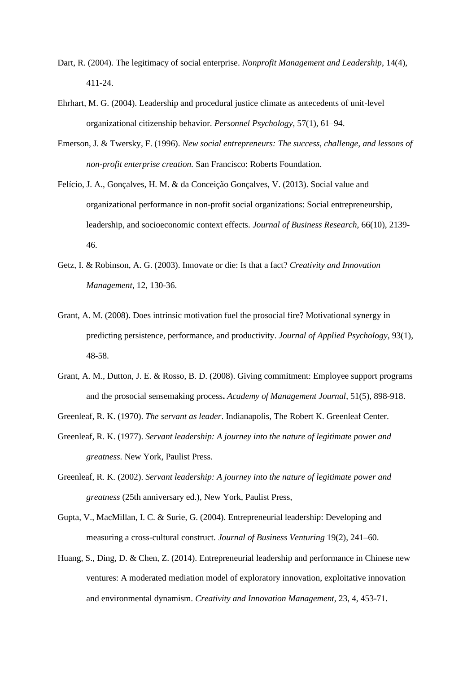- Dart, R. (2004). The legitimacy of social enterprise. *Nonprofit Management and Leadership*, 14(4), 411-24.
- Ehrhart, M. G. (2004). Leadership and procedural justice climate as antecedents of unit-level organizational citizenship behavior. *Personnel Psychology*, 57(1), 61–94.
- Emerson, J. & Twersky, F. (1996). *New social entrepreneurs: The success, challenge, and lessons of non-profit enterprise creation.* San Francisco: Roberts Foundation.
- Felício, J. A., Gonçalves, H. M. & da Conceição Gonçalves, V. (2013). Social value and organizational performance in non-profit social organizations: Social entrepreneurship, leadership, and socioeconomic context effects. *Journal of Business Research*, 66(10), 2139- 46.
- Getz, I. & Robinson, A. G. (2003). Innovate or die: Is that a fact? *Creativity and Innovation Management*, 12, 130-36.
- Grant, A. M. (2008). Does intrinsic motivation fuel the prosocial fire? Motivational synergy in predicting persistence, performance, and productivity. *Journal of Applied Psychology*, 93(1), 48-58.
- Grant, A. M., Dutton, J. E. & Rosso, B. D. (2008). Giving commitment: Employee support programs and the prosocial sensemaking process**.** *Academy of Management Journal*, 51(5), 898-918.
- Greenleaf, R. K. (1970). *The servant as leader*. Indianapolis, The Robert K. Greenleaf Center.
- Greenleaf, R. K. (1977). *Servant leadership: A journey into the nature of legitimate power and greatness*. New York, Paulist Press.
- Greenleaf, R. K. (2002). *Servant leadership: A journey into the nature of legitimate power and greatness* (25th anniversary ed.), New York, Paulist Press,
- Gupta, V., MacMillan, I. C. & Surie, G. (2004). Entrepreneurial leadership: Developing and measuring a cross-cultural construct. *Journal of Business Venturing* 19(2), 241–60.
- Huang, S., Ding, D. & Chen, Z. (2014). Entrepreneurial leadership and performance in Chinese new ventures: A moderated mediation model of exploratory innovation, exploitative innovation and environmental dynamism. *Creativity and Innovation Management*, 23, 4, 453-71.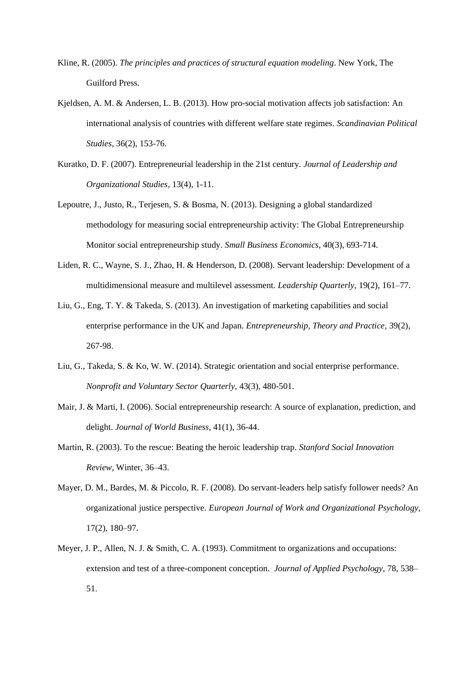- Kline, R. (2005). *The principles and practices of structural equation modeling*. New York, The Guilford Press.
- Kjeldsen, A. M. & Andersen, L. B. (2013). How pro-social motivation affects job satisfaction: An international analysis of countries with different welfare state regimes. *Scandinavian Political Studies*, 36(2), 153-76.
- Kuratko, D. F. (2007). Entrepreneurial leadership in the 21st century. *Journal of Leadership and Organizational Studies*, 13(4), 1-11.
- Lepoutre, J., Justo, R., Terjesen, S. & Bosma, N. (2013). Designing a global standardized methodology for measuring social entrepreneurship activity: The Global Entrepreneurship Monitor social entrepreneurship study. *Small Business Economics*, 40(3), 693-714.
- Liden, R. C., Wayne, S. J., Zhao, H. & Henderson, D. (2008). Servant leadership: Development of a multidimensional measure and multilevel assessment. *Leadership Quarterly*, 19(2), 161*–*77.
- Liu, G., Eng, T. Y. & Takeda, S. (2013). An investigation of marketing capabilities and social enterprise performance in the UK and Japan. *Entrepreneurship, Theory and Practice*, 39(2), 267-98.
- Liu, G., Takeda, S. & Ko, W. W. (2014). Strategic orientation and social enterprise performance. *Nonprofit and Voluntary Sector Quarterly*, 43(3), 480-501.
- Mair, J. & Marti, I. (2006). Social entrepreneurship research: A source of explanation, prediction, and delight. *Journal of World Business*, 41(1), 36-44.
- Martin, R. (2003). To the rescue: Beating the heroic leadership trap. *Stanford Social Innovation Review,* Winter, 36–43.
- Mayer, D. M., Bardes, M. & Piccolo, R. F. (2008). Do servant-leaders help satisfy follower needs? An organizational justice perspective. *European Journal of Work and Organizational Psychology,*  17(2), 180–97.
- Meyer, J. P., Allen, N. J. & Smith, C. A. (1993). Commitment to organizations and occupations: extension and test of a three-component conception. *Journal of Applied Psychology*, 78, 538– 51.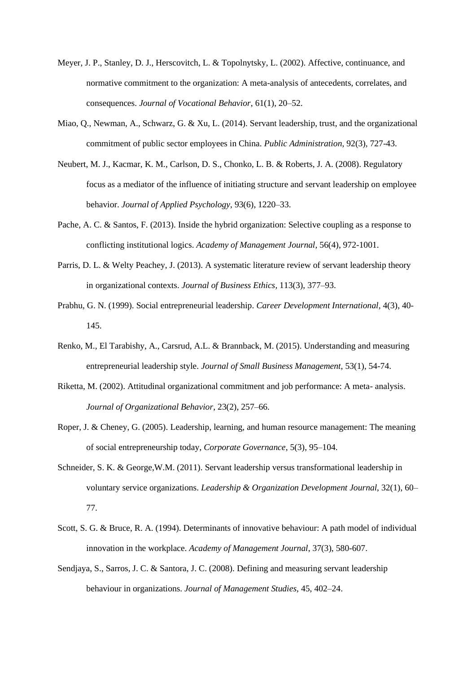- Meyer, J. P., Stanley, D. J., Herscovitch, L. & Topolnytsky, L. (2002). Affective, continuance, and normative commitment to the organization: A meta-analysis of antecedents, correlates, and consequences. *Journal of Vocational Behavior*, 61(1), 20–52.
- Miao, Q., Newman, A., Schwarz, G. & Xu, L. (2014). Servant leadership, trust, and the organizational commitment of public sector employees in China. *Public Administration*, 92(3), 727-43.
- Neubert, M. J., Kacmar, K. M., Carlson, D. S., Chonko, L. B. & Roberts, J. A. (2008). Regulatory focus as a mediator of the influence of initiating structure and servant leadership on employee behavior. *Journal of Applied Psychology*, 93(6), 1220–33.
- Pache, A. C. & Santos, F. (2013). Inside the hybrid organization: Selective coupling as a response to conflicting institutional logics. *Academy of Management Journal*, 56(4), 972-1001.
- Parris, D. L. & Welty Peachey, J. (2013). A systematic literature review of servant leadership theory in organizational contexts. *Journal of Business Ethics,* 113(3), 377–93.
- Prabhu, G. N. (1999). Social entrepreneurial leadership. *Career Development International*, 4(3), 40- 145.
- Renko, M., El Tarabishy, A., Carsrud, A.L. & Brannback, M. (2015). Understanding and measuring entrepreneurial leadership style. *Journal of Small Business Management*, 53(1), 54-74.
- Riketta, M. (2002). Attitudinal organizational commitment and job performance: A meta- analysis. *Journal of Organizational Behavior*, 23(2), 257–66.
- Roper, J. & Cheney, G. (2005). Leadership, learning, and human resource management: The meaning of social entrepreneurship today, *Corporate Governance*, 5(3), 95–104.
- Schneider, S. K. & George,W.M. (2011). Servant leadership versus transformational leadership in voluntary service organizations. *Leadership & Organization Development Journal*, 32(1), 60– 77.
- Scott, S. G. & Bruce, R. A. (1994). Determinants of innovative behaviour: A path model of individual innovation in the workplace. *Academy of Management Journal*, 37(3), 580-607.
- Sendjaya, S., Sarros, J. C. & Santora, J. C. (2008). Defining and measuring servant leadership behaviour in organizations. *Journal of Management Studies,* 45, 402–24.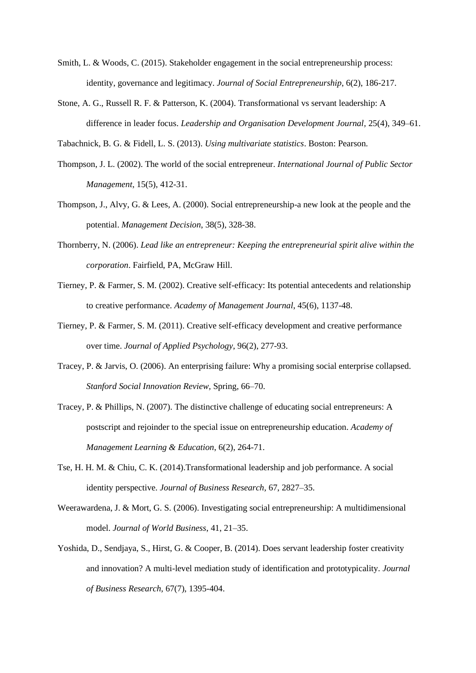- Smith, L. & Woods, C. (2015). Stakeholder engagement in the social entrepreneurship process: identity, governance and legitimacy. *Journal of Social Entrepreneurship*, 6(2), 186-217.
- Stone, A. G., Russell R. F. & Patterson, K. (2004). Transformational vs servant leadership: A difference in leader focus. *Leadership and Organisation Development Journal,* 25(4), 349–61.

Tabachnick, B. G. & Fidell, L. S. (2013). *Using multivariate statistics*. Boston: Pearson.

- Thompson, J. L. (2002). The world of the social entrepreneur. *International Journal of Public Sector Management*, 15(5), 412-31.
- Thompson, J., Alvy, G. & Lees, A. (2000). Social entrepreneurship-a new look at the people and the potential. *Management Decision*, 38(5), 328-38.
- Thornberry, N. (2006). *Lead like an entrepreneur: Keeping the entrepreneurial spirit alive within the corporation*. Fairfield, PA, McGraw Hill.
- Tierney, P. & Farmer, S. M. (2002). Creative self-efficacy: Its potential antecedents and relationship to creative performance. *Academy of Management Journal*, 45(6), 1137-48.
- Tierney, P. & Farmer, S. M. (2011). Creative self-efficacy development and creative performance over time. *Journal of Applied Psychology*, 96(2), 277-93.
- Tracey, P. & Jarvis, O. (2006). An enterprising failure: Why a promising social enterprise collapsed. *Stanford Social Innovation Review,* Spring, 66–70.
- Tracey, P. & Phillips, N. (2007). The distinctive challenge of educating social entrepreneurs: A postscript and rejoinder to the special issue on entrepreneurship education. *Academy of Management Learning & Education*, 6(2), 264-71.
- Tse, H. H. M. & Chiu, C. K. (2014).Transformational leadership and job performance. A social identity perspective. *Journal of Business Research,* 67, 2827–35.
- Weerawardena, J. & Mort, G. S. (2006). Investigating social entrepreneurship: A multidimensional model. *Journal of World Business*, 41, 21–35.
- Yoshida, D., Sendjaya, S., Hirst, G. & Cooper, B. (2014). Does servant leadership foster creativity and innovation? A multi-level mediation study of identification and prototypicality. *Journal of Business Research,* 67(7), 1395-404.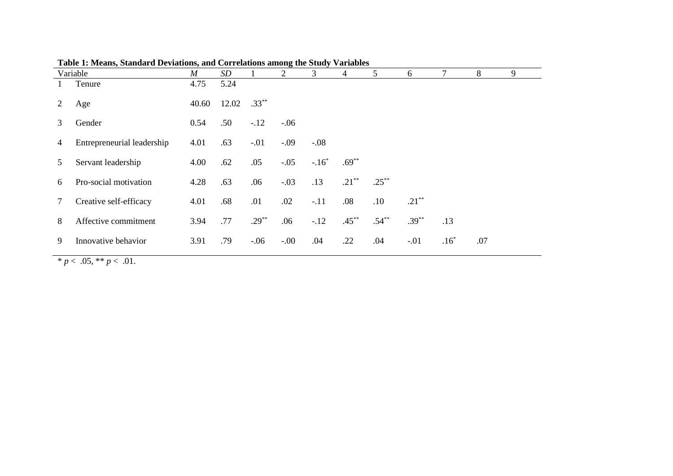|                | Variable                   | $\boldsymbol{M}$ | SD    |          | $\overline{2}$ | 3       | 4        | 5        | 6        | 7       | 8   | 9 |
|----------------|----------------------------|------------------|-------|----------|----------------|---------|----------|----------|----------|---------|-----|---|
|                | Tenure                     | 4.75             | 5.24  |          |                |         |          |          |          |         |     |   |
| $\overline{2}$ | Age                        | 40.60            | 12.02 | $.33***$ |                |         |          |          |          |         |     |   |
| 3              | Gender                     | 0.54             | .50   | $-.12$   | $-.06$         |         |          |          |          |         |     |   |
| 4              | Entrepreneurial leadership | 4.01             | .63   | $-.01$   | $-.09$         | $-.08$  |          |          |          |         |     |   |
| 5.             | Servant leadership         | 4.00             | .62   | .05      | $-.05$         | $-.16*$ | $.69***$ |          |          |         |     |   |
| 6              | Pro-social motivation      | 4.28             | .63   | .06      | $-.03$         | .13     | $.21***$ | $.25***$ |          |         |     |   |
|                | Creative self-efficacy     | 4.01             | .68   | .01      | .02            | $-.11$  | .08      | .10      | $.21***$ |         |     |   |
| 8              | Affective commitment       | 3.94             | .77   | $.29**$  | .06            | $-12$   | $.45***$ | $.54***$ | $.39***$ | .13     |     |   |
| 9              | Innovative behavior        | 3.91             | .79   | $-.06$   | $-.00$         | .04     | .22      | .04      | $-.01$   | $.16^*$ | .07 |   |

**Table 1: Means, Standard Deviations, and Correlations among the Study Variables** 

 $\overline{\qquad \qquad \ast p} < .05, \, \ast \ast p < .01.$